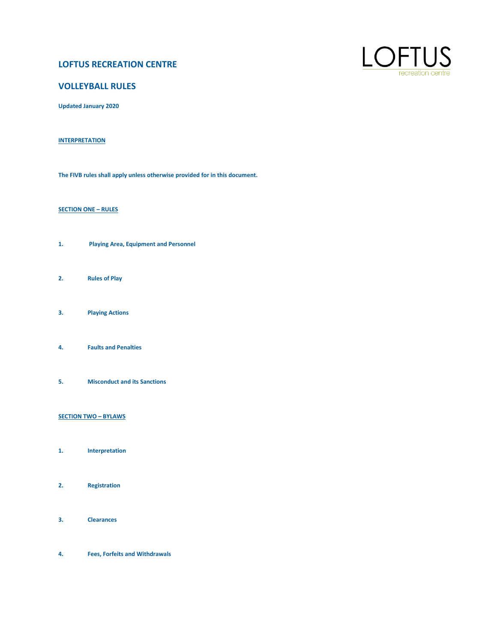# **LOFTUS RECREATION CENTRE**



# **VOLLEYBALL RULES**

**Updated January 2020**

# **INTERPRETATION**

**The FIVB rules shall apply unless otherwise provided for in this document.**

# **SECTION ONE – RULES**

- **1. Playing Area, Equipment and Personnel**
- **2. Rules of Play**
- **3. Playing Actions**
- **4. Faults and Penalties**
- **5. Misconduct and its Sanctions**

# **SECTION TWO – BYLAWS**

- **1. Interpretation**
- **2. Registration**
- 
- **3. Clearances**
- **4. Fees, Forfeits and Withdrawals**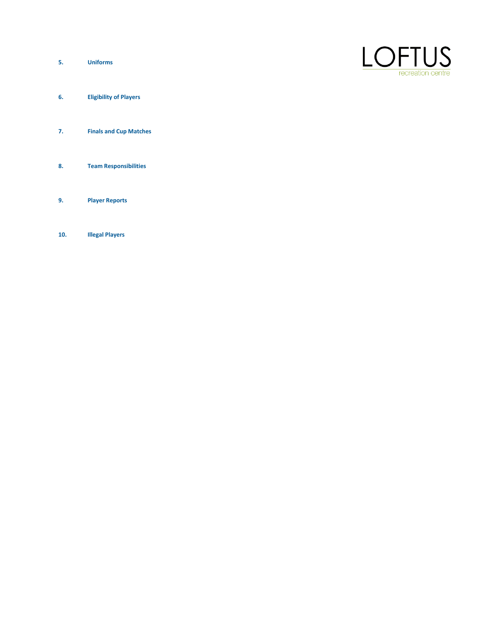**5. Uniforms**



- **6. Eligibility of Players**
- **7. Finals and Cup Matches**
- **8. Team Responsibilities**
- **9. Player Reports**
- **10. Illegal Players**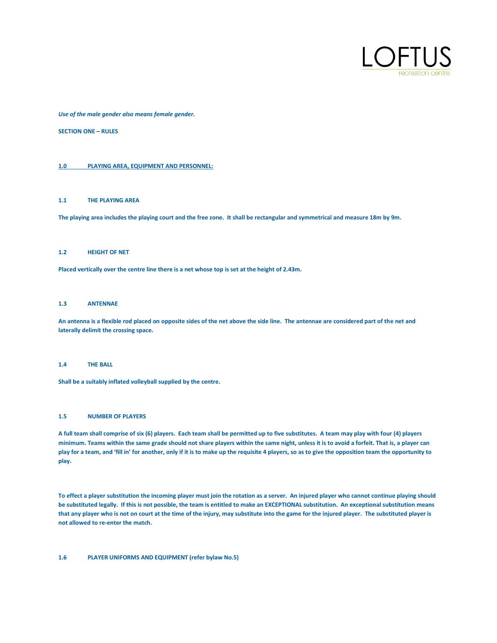

*Use of the male gender also means female gender.*

**SECTION ONE – RULES**

# **1.0 PLAYING AREA, EQUIPMENT AND PERSONNEL:**

#### **1.1 THE PLAYING AREA**

**The playing area includes the playing court and the free zone. It shall be rectangular and symmetrical and measure 18m by 9m.**

#### **1.2 HEIGHT OF NET**

**Placed vertically over the centre line there is a net whose top is set at the height of 2.43m.**

# **1.3 ANTENNAE**

**An antenna is a flexible rod placed on opposite sides of the net above the side line. The antennae are considered part of the net and laterally delimit the crossing space.**

#### **1.4 THE BALL**

**Shall be a suitably inflated volleyball supplied by the centre.**

# **1.5 NUMBER OF PLAYERS**

**A full team shall comprise of six (6) players. Each team shall be permitted up to five substitutes. A team may play with four (4) players minimum. Teams within the same grade should not share players within the same night, unless it is to avoid a forfeit. That is, a player can play for a team, and 'fill in' for another, only if it is to make up the requisite 4 players, so as to give the opposition team the opportunity to play.**

**To effect a player substitution the incoming player must join the rotation as a server. An injured player who cannot continue playing should be substituted legally. If this is not possible, the team is entitled to make an EXCEPTIONAL substitution. An exceptional substitution means that any player who is not on court at the time of the injury, may substitute into the game for the injured player. The substituted player is not allowed to re-enter the match.**

# **1.6 PLAYER UNIFORMS AND EQUIPMENT (refer bylaw No.5)**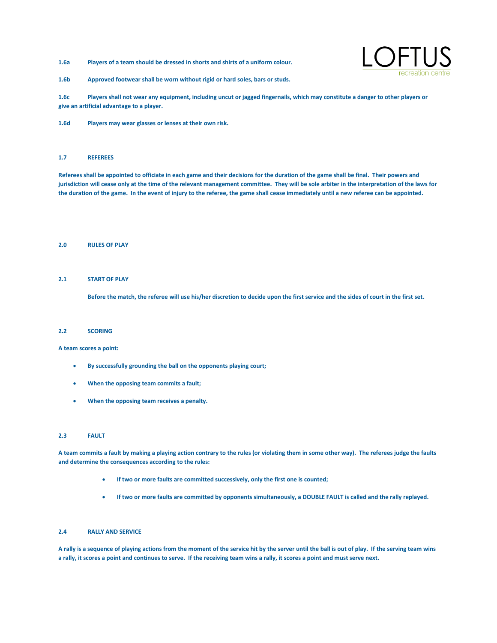**1.6a Players of a team should be dressed in shorts and shirts of a uniform colour.**



**1.6b Approved footwear shall be worn without rigid or hard soles, bars or studs.**

**1.6c Players shall not wear any equipment, including uncut or jagged fingernails, which may constitute a danger to other players or give an artificial advantage to a player.**

**1.6d Players may wear glasses or lenses at their own risk.**

#### **1.7 REFEREES**

**Referees shall be appointed to officiate in each game and their decisions for the duration of the game shall be final. Their powers and jurisdiction will cease only at the time of the relevant management committee. They will be sole arbiter in the interpretation of the laws for the duration of the game. In the event of injury to the referee, the game shall cease immediately until a new referee can be appointed.**

# **2.0 RULES OF PLAY**

# **2.1 START OF PLAY**

**Before the match, the referee will use his/her discretion to decide upon the first service and the sides of court in the first set.**

#### **2.2 SCORING**

**A team scores a point:**

- **By successfully grounding the ball on the opponents playing court;**
- **When the opposing team commits a fault;**
- **When the opposing team receives a penalty.**

#### **2.3 FAULT**

**A team commits a fault by making a playing action contrary to the rules (or violating them in some other way). The referees judge the faults and determine the consequences according to the rules:**

- **If two or more faults are committed successively, only the first one is counted;**
- **If two or more faults are committed by opponents simultaneously, a DOUBLE FAULT is called and the rally replayed.**

# **2.4 RALLY AND SERVICE**

**A rally is a sequence of playing actions from the moment of the service hit by the server until the ball is out of play. If the serving team wins a rally, it scores a point and continues to serve. If the receiving team wins a rally, it scores a point and must serve next.**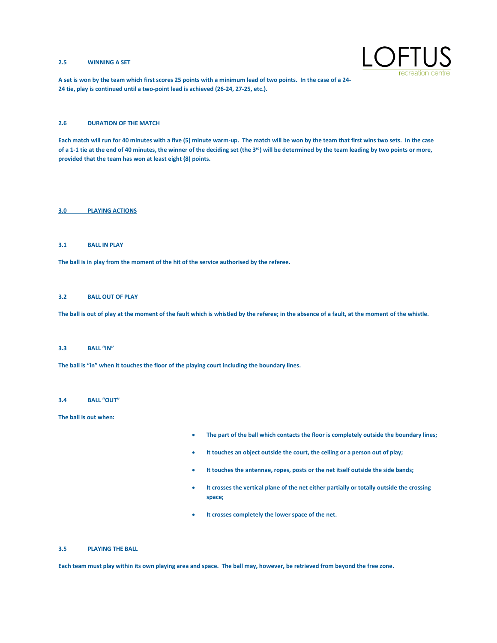# **2.5 WINNING A SET**



**A set is won by the team which first scores 25 points with a minimum lead of two points. In the case of a 24- 24 tie, play is continued until a two-point lead is achieved (26-24, 27-25, etc.).**

# **2.6 DURATION OF THE MATCH**

**Each match will run for 40 minutes with a five (5) minute warm-up. The match will be won by the team that first wins two sets. In the case**  of a 1-1 tie at the end of 40 minutes, the winner of the deciding set (the 3<sup>rd</sup>) will be determined by the team leading by two points or more, **provided that the team has won at least eight (8) points.**

# **3.0 PLAYING ACTIONS**

# **3.1 BALL IN PLAY**

**The ball is in play from the moment of the hit of the service authorised by the referee.**

# **3.2 BALL OUT OF PLAY**

**The ball is out of play at the moment of the fault which is whistled by the referee; in the absence of a fault, at the moment of the whistle.**

#### **3.3 BALL "IN"**

**The ball is "in" when it touches the floor of the playing court including the boundary lines.**

#### **3.4 BALL "OUT"**

**The ball is out when:**

- **The part of the ball which contacts the floor is completely outside the boundary lines;**
- **It touches an object outside the court, the ceiling or a person out of play;**
- **It touches the antennae, ropes, posts or the net itself outside the side bands;**
- **It crosses the vertical plane of the net either partially or totally outside the crossing space;**
- **It crosses completely the lower space of the net.**

### **3.5 PLAYING THE BALL**

**Each team must play within its own playing area and space. The ball may, however, be retrieved from beyond the free zone.**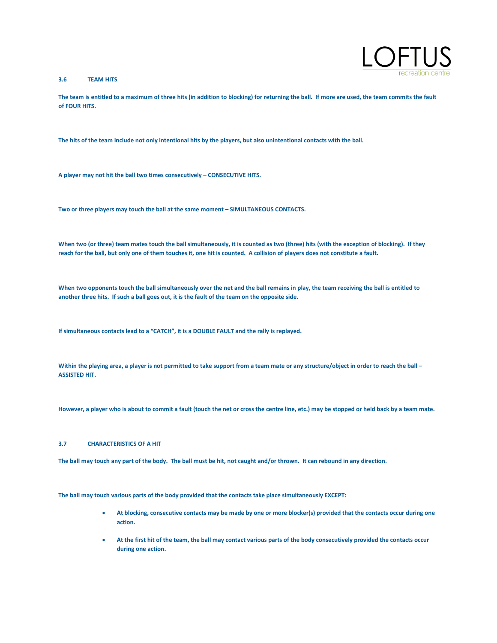# **3.6 TEAM HITS**



**The team is entitled to a maximum of three hits (in addition to blocking) for returning the ball. If more are used, the team commits the fault of FOUR HITS.**

**The hits of the team include not only intentional hits by the players, but also unintentional contacts with the ball.**

A player may not hit the ball two times consecutively – CONSECUTIVE HITS.

**Two or three players may touch the ball at the same moment – SIMULTANEOUS CONTACTS.**

**When two (or three) team mates touch the ball simultaneously, it is counted as two (three) hits (with the exception of blocking). If they reach for the ball, but only one of them touches it, one hit is counted. A collision of players does not constitute a fault.**

**When two opponents touch the ball simultaneously over the net and the ball remains in play, the team receiving the ball is entitled to another three hits. If such a ball goes out, it is the fault of the team on the opposite side.**

**If simultaneous contacts lead to a "CATCH", it is a DOUBLE FAULT and the rally is replayed.**

**Within the playing area, a player is not permitted to take support from a team mate or any structure/object in order to reach the ball – ASSISTED HIT.**

**However, a player who is about to commit a fault (touch the net or cross the centre line, etc.) may be stopped or held back by a team mate.**

#### **3.7 CHARACTERISTICS OF A HIT**

**The ball may touch any part of the body. The ball must be hit, not caught and/or thrown. It can rebound in any direction.**

**The ball may touch various parts of the body provided that the contacts take place simultaneously EXCEPT:**

- **At blocking, consecutive contacts may be made by one or more blocker(s) provided that the contacts occur during one action.**
- **At the first hit of the team, the ball may contact various parts of the body consecutively provided the contacts occur during one action.**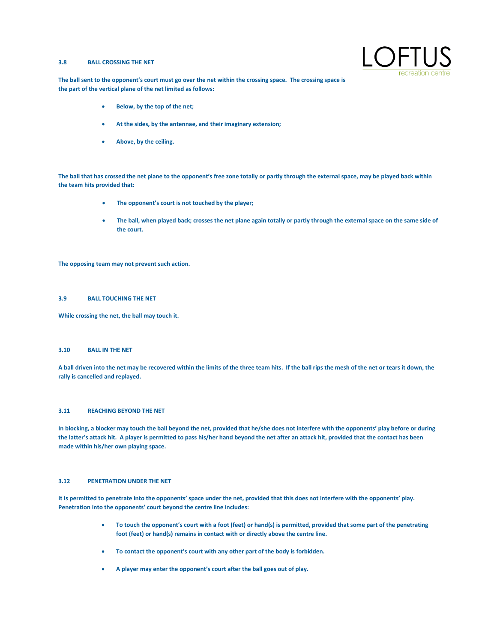# **3.8 BALL CROSSING THE NET**



**The ball sent to the opponent's court must go over the net within the crossing space. The crossing space is the part of the vertical plane of the net limited as follows:**

- **Below, by the top of the net;**
- **At the sides, by the antennae, and their imaginary extension;**
- **Above, by the ceiling.**

**The ball that has crossed the net plane to the opponent's free zone totally or partly through the external space, may be played back within the team hits provided that:**

- **The opponent's court is not touched by the player;**
- **The ball, when played back; crosses the net plane again totally or partly through the external space on the same side of the court.**

**The opposing team may not prevent such action.**

# **3.9 BALL TOUCHING THE NET**

**While crossing the net, the ball may touch it.**

# **3.10 BALL IN THE NET**

**A ball driven into the net may be recovered within the limits of the three team hits. If the ball rips the mesh of the net or tears it down, the rally is cancelled and replayed.**

#### **3.11 REACHING BEYOND THE NET**

**In blocking, a blocker may touch the ball beyond the net, provided that he/she does not interfere with the opponents' play before or during the latter's attack hit. A player is permitted to pass his/her hand beyond the net after an attack hit, provided that the contact has been made within his/her own playing space.**

# **3.12 PENETRATION UNDER THE NET**

**It is permitted to penetrate into the opponents' space under the net, provided that this does not interfere with the opponents' play. Penetration into the opponents' court beyond the centre line includes:**

- **To touch the opponent's court with a foot (feet) or hand(s) is permitted, provided that some part of the penetrating foot (feet) or hand(s) remains in contact with or directly above the centre line.**
- **To contact the opponent's court with any other part of the body is forbidden.**
- **A player may enter the opponent's court after the ball goes out of play.**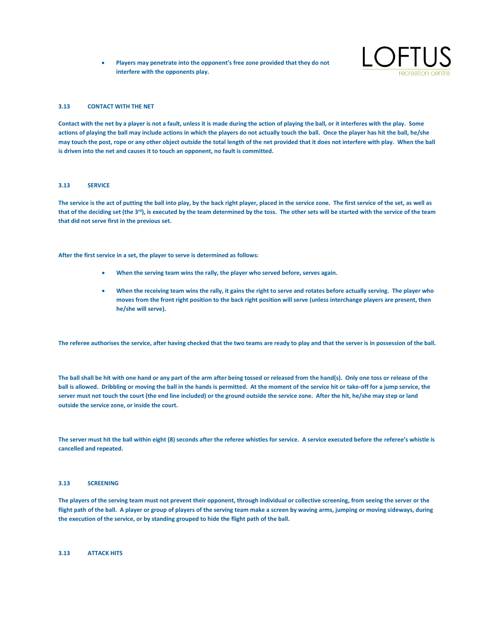• **Players may penetrate into the opponent's free zone provided that they do not interfere with the opponents play.**



# **3.13 CONTACT WITH THE NET**

**Contact with the net by a player is not a fault, unless it is made during the action of playing the ball, or it interferes with the play. Some actions of playing the ball may include actions in which the players do not actually touch the ball. Once the player has hit the ball, he/she may touch the post, rope or any other object outside the total length of the net provided that it does not interfere with play. When the ball is driven into the net and causes it to touch an opponent, no fault is committed.**

#### **3.13 SERVICE**

**The service is the act of putting the ball into play, by the back right player, placed in the service zone. The first service of the set, as well as that of the deciding set (the 3rd), is executed by the team determined by the toss. The other sets will be started with the service of the team that did not serve first in the previous set.**

**After the first service in a set, the player to serve is determined as follows:**

- **When the serving team wins the rally, the player who served before, serves again.**
- **When the receiving team wins the rally, it gains the right to serve and rotates before actually serving. The player who moves from the front right position to the back right position will serve (unless interchange players are present, then he/she will serve).**

**The referee authorises the service, after having checked that the two teams are ready to play and that the server is in possession of the ball.**

**The ball shall be hit with one hand or any part of the arm after being tossed or released from the hand(s). Only one toss or release of the ball is allowed. Dribbling or moving the ball in the hands is permitted. At the moment of the service hit or take-off for a jump service, the server must not touch the court (the end line included) or the ground outside the service zone. After the hit, he/she may step or land outside the service zone, or inside the court.**

The server must hit the ball within eight (8) seconds after the referee whistles for service. A service executed before the referee's whistle is **cancelled and repeated.**

# **3.13 SCREENING**

**The players of the serving team must not prevent their opponent, through individual or collective screening, from seeing the server or the flight path of the ball. A player or group of players of the serving team make a screen by waving arms, jumping or moving sideways, during the execution of the service, or by standing grouped to hide the flight path of the ball.**

# **3.13 ATTACK HITS**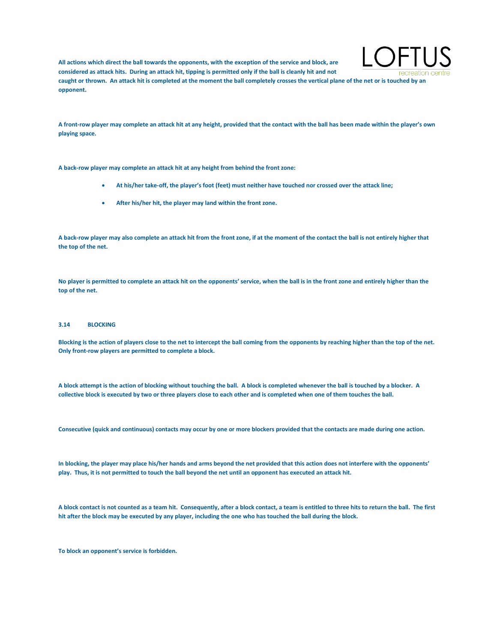**All actions which direct the ball towards the opponents, with the exception of the service and block, are considered as attack hits. During an attack hit, tipping is permitted only if the ball is cleanly hit and not caught or thrown. An attack hit is completed at the moment the ball completely crosses the vertical plane of the net or is touched by an opponent.**



**A front-row player may complete an attack hit at any height, provided that the contact with the ball has been made within the player's own playing space.**

**A back-row player may complete an attack hit at any height from behind the front zone:**

- **At his/her take-off, the player's foot (feet) must neither have touched nor crossed over the attack line;**
- **After his/her hit, the player may land within the front zone.**

**A back-row player may also complete an attack hit from the front zone, if at the moment of the contact the ball is not entirely higher that the top of the net.**

**No player is permitted to complete an attack hit on the opponents' service, when the ball is in the front zone and entirely higher than the top of the net.**

#### **3.14 BLOCKING**

**Blocking is the action of players close to the net to intercept the ball coming from the opponents by reaching higher than the top of the net. Only front-row players are permitted to complete a block.**

**A block attempt is the action of blocking without touching the ball. A block is completed whenever the ball is touched by a blocker. A collective block is executed by two or three players close to each other and is completed when one of them touches the ball.**

**Consecutive (quick and continuous) contacts may occur by one or more blockers provided that the contacts are made during one action.**

**In blocking, the player may place his/her hands and arms beyond the net provided that this action does not interfere with the opponents' play. Thus, it is not permitted to touch the ball beyond the net until an opponent has executed an attack hit.**

**A block contact is not counted as a team hit. Consequently, after a block contact, a team is entitled to three hits to return the ball. The first hit after the block may be executed by any player, including the one who has touched the ball during the block.**

**To block an opponent's service is forbidden.**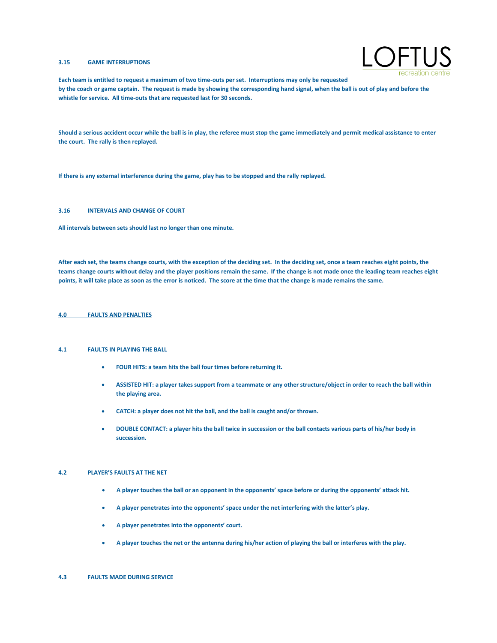# **3.15 GAME INTERRUPTIONS**



**Each team is entitled to request a maximum of two time-outs per set. Interruptions may only be requested by the coach or game captain. The request is made by showing the corresponding hand signal, when the ball is out of play and before the whistle for service. All time-outs that are requested last for 30 seconds.**

**Should a serious accident occur while the ball is in play, the referee must stop the game immediately and permit medical assistance to enter the court. The rally is then replayed.**

**If there is any external interference during the game, play has to be stopped and the rally replayed.**

# **3.16 INTERVALS AND CHANGE OF COURT**

**All intervals between sets should last no longer than one minute.**

**After each set, the teams change courts, with the exception of the deciding set. In the deciding set, once a team reaches eight points, the teams change courts without delay and the player positions remain the same. If the change is not made once the leading team reaches eight points, it will take place as soon as the error is noticed. The score at the time that the change is made remains the same.**

### **4.0 FAULTS AND PENALTIES**

#### **4.1 FAULTS IN PLAYING THE BALL**

- **FOUR HITS: a team hits the ball four times before returning it.**
- **ASSISTED HIT: a player takes support from a teammate or any other structure/object in order to reach the ball within the playing area.**
- **CATCH: a player does not hit the ball, and the ball is caught and/or thrown.**
- **DOUBLE CONTACT: a player hits the ball twice in succession or the ball contacts various parts of his/her body in succession.**

#### **4.2 PLAYER'S FAULTS AT THE NET**

- **A player touches the ball or an opponent in the opponents' space before or during the opponents' attack hit.**
- **A player penetrates into the opponents' space under the net interfering with the latter's play.**
- **A player penetrates into the opponents' court.**
- **A player touches the net or the antenna during his/her action of playing the ball or interferes with the play.**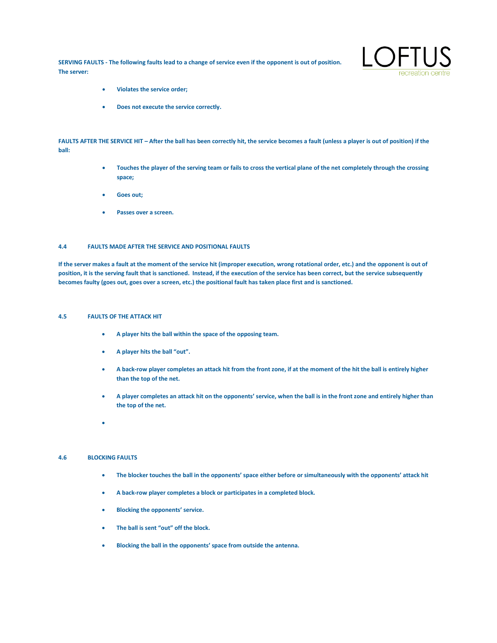**SERVING FAULTS - The following faults lead to a change of service even if the opponent is out of position. The server:**



- **Violates the service order;**
- **Does not execute the service correctly.**

**FAULTS AFTER THE SERVICE HIT – After the ball has been correctly hit, the service becomes a fault (unless a player is out of position) if the ball:**

- **Touches the player of the serving team or fails to cross the vertical plane of the net completely through the crossing space;**
- **Goes out;**
- Passes over a screen.

# **4.4 FAULTS MADE AFTER THE SERVICE AND POSITIONAL FAULTS**

**If the server makes a fault at the moment of the service hit (improper execution, wrong rotational order, etc.) and the opponent is out of position, it is the serving fault that is sanctioned. Instead, if the execution of the service has been correct, but the service subsequently becomes faulty (goes out, goes over a screen, etc.) the positional fault has taken place first and is sanctioned.**

# **4.5 FAULTS OF THE ATTACK HIT**

- **A player hits the ball within the space of the opposing team.**
- **A player hits the ball "out".**
- **A back-row player completes an attack hit from the front zone, if at the moment of the hit the ball is entirely higher than the top of the net.**
- **A player completes an attack hit on the opponents' service, when the ball is in the front zone and entirely higher than the top of the net.**
- •

# **4.6 BLOCKING FAULTS**

- **The blocker touches the ball in the opponents' space either before or simultaneously with the opponents' attack hit**
- **A back-row player completes a block or participates in a completed block.**
- **Blocking the opponents' service.**
- **The ball is sent "out" off the block.**
- **Blocking the ball in the opponents' space from outside the antenna.**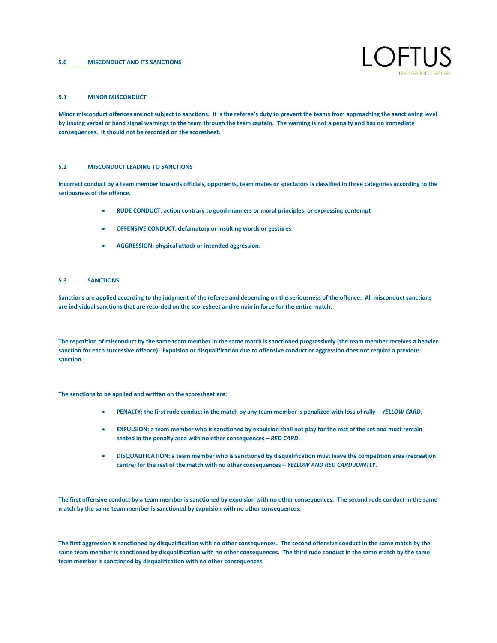### **5.0 MISCONDUCT AND ITS SANCTIONS**



#### **5.1 MINOR MISCONDUCT**

**Minor misconduct offences are not subject to sanctions. It is the referee's duty to prevent the teams from approaching the sanctioning level by issuing verbal or hand signal warnings to the team through the team captain. The warning is not a penalty and has no immediate consequences. It should not be recorded on the scoresheet.**

#### **5.2 MISCONDUCT LEADING TO SANCTIONS**

**Incorrect conduct by a team member towards officials, opponents, team mates or spectators is classified in three categories according to the seriousness of the offence.**

- **RUDE CONDUCT: action contrary to good manners or moral principles, or expressing contempt**
- **OFFENSIVE CONDUCT: defamatory or insulting words or gestures**
- **AGGRESSION: physical attack or intended aggression.**

### **5.3 SANCTIONS**

**Sanctions are applied according to the judgment of the referee and depending on the seriousness of the offence. All misconduct sanctions are individual sanctions that are recorded on the scoresheet and remain in force for the entire match.**

**The repetition of misconduct by the same team member in the same match is sanctioned progressively (the team member receives a heavier sanction for each successive offence). Expulsion or disqualification due to offensive conduct or aggression does not require a previous sanction.**

**The sanctions to be applied and written on the scoresheet are:**

- **PENALTY: the first rude conduct in the match by any team member is penalized with loss of rally –** *YELLOW CARD***.**
- **EXPULSION: a team member who is sanctioned by expulsion shall not play for the rest of the set and must remain seated in the penalty area with no other consequences –** *RED CARD***.**
- **DISQUALIFICATION: a team member who is sanctioned by disqualification must leave the competition area (recreation centre) for the rest of the match with no other consequences –** *YELLOW AND RED CARD JOINTLY***.**

**The first offensive conduct by a team member is sanctioned by expulsion with no other consequences. The second rude conduct in the same match by the same team member is sanctioned by expulsion with no other consequences.**

**The first aggression is sanctioned by disqualification with no other consequences. The second offensive conduct in the same match by the same team member is sanctioned by disqualification with no other consequences. The third rude conduct in the same match by the same team member is sanctioned by disqualification with no other consequences.**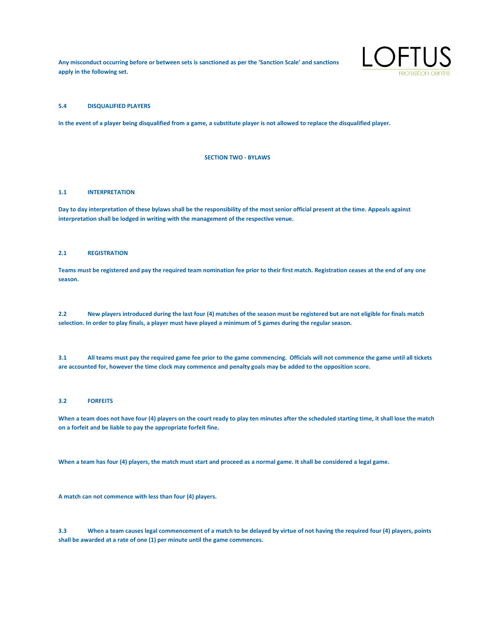**Any misconduct occurring before or between sets is sanctioned as per the 'Sanction Scale' and sanctions apply in the following set.**



# **5.4 DISQUALIFIED PLAYERS**

**In the event of a player being disqualified from a game, a substitute player is not allowed to replace the disqualified player.**

**SECTION TWO - BYLAWS**

#### **1.1 INTERPRETATION**

**Day to day interpretation of these bylaws shall be the responsibility of the most senior official present at the time. Appeals against interpretation shall be lodged in writing with the management of the respective venue.**

## **2.1 REGISTRATION**

**Teams must be registered and pay the required team nomination fee prior to their first match. Registration ceases at the end of any one season.**

**2.2 New players introduced during the last four (4) matches of the season must be registered but are not eligible for finals match selection. In order to play finals, a player must have played a minimum of 5 games during the regular season.**

**3.1 All teams must pay the required game fee prior to the game commencing. Officials will not commence the game until all tickets are accounted for, however the time clock may commence and penalty goals may be added to the opposition score.**

# **3.2 FORFEITS**

**When a team does not have four (4) players on the court ready to play ten minutes after the scheduled starting time, it shall lose the match on a forfeit and be liable to pay the appropriate forfeit fine.**

**When a team has four (4) players, the match must start and proceed as a normal game. It shall be considered a legal game.**

**A match can not commence with less than four (4) players.**

**3.3 When a team causes legal commencement of a match to be delayed by virtue of not having the required four (4) players, points shall be awarded at a rate of one (1) per minute until the game commences.**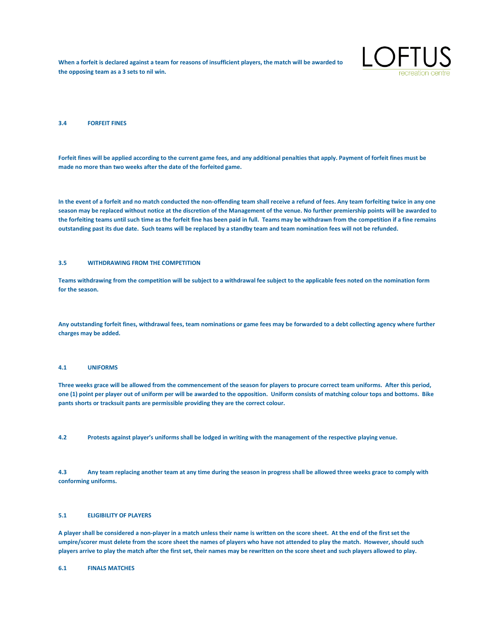**When a forfeit is declared against a team for reasons of insufficient players, the match will be awarded to the opposing team as a 3 sets to nil win.**



#### **3.4 FORFEIT FINES**

**Forfeit fines will be applied according to the current game fees, and any additional penalties that apply. Payment of forfeit fines must be made no more than two weeks after the date of the forfeited game.**

**In the event of a forfeit and no match conducted the non-offending team shall receive a refund of fees. Any team forfeiting twice in any one season may be replaced without notice at the discretion of the Management of the venue. No further premiership points will be awarded to the forfeiting teams until such time as the forfeit fine has been paid in full. Teams may be withdrawn from the competition if a fine remains outstanding past its due date. Such teams will be replaced by a standby team and team nomination fees will not be refunded.**

#### **3.5 WITHDRAWING FROM THE COMPETITION**

**Teams withdrawing from the competition will be subject to a withdrawal fee subject to the applicable fees noted on the nomination form for the season.**

**Any outstanding forfeit fines, withdrawal fees, team nominations or game fees may be forwarded to a debt collecting agency where further charges may be added.**

### **4.1 UNIFORMS**

**Three weeks grace will be allowed from the commencement of the season for players to procure correct team uniforms. After this period, one (1) point per player out of uniform per will be awarded to the opposition. Uniform consists of matching colour tops and bottoms. Bike pants shorts or tracksuit pants are permissible providing they are the correct colour.**

**4.2 Protests against player's uniforms shall be lodged in writing with the management of the respective playing venue.**

**4.3 Any team replacing another team at any time during the season in progress shall be allowed three weeks grace to comply with conforming uniforms.**

# **5.1 ELIGIBILITY OF PLAYERS**

**A player shall be considered a non-player in a match unless their name is written on the score sheet. At the end of the first set the umpire/scorer must delete from the score sheet the names of players who have not attended to play the match. However, should such players arrive to play the match after the first set, their names may be rewritten on the score sheet and such players allowed to play.**

**6.1 FINALS MATCHES**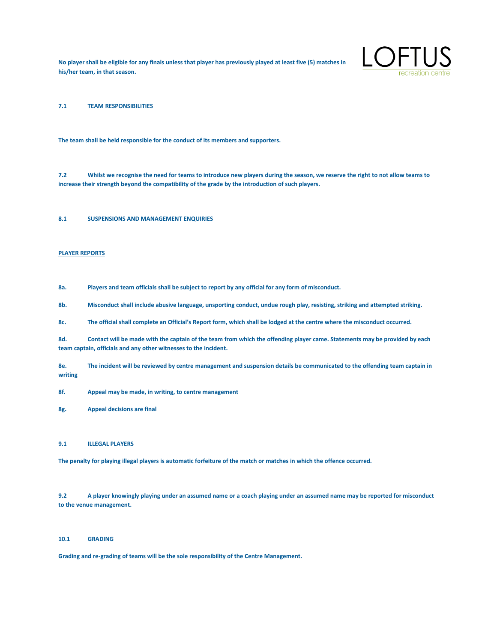**No player shall be eligible for any finals unless that player has previously played at least five (5) matches in his/her team, in that season.**



**7.1 TEAM RESPONSIBILITIES**

**The team shall be held responsible for the conduct of its members and supporters.**

**7.2 Whilst we recognise the need for teams to introduce new players during the season, we reserve the right to not allow teams to increase their strength beyond the compatibility of the grade by the introduction of such players.**

# **8.1 SUSPENSIONS AND MANAGEMENT ENQUIRIES**

#### **PLAYER REPORTS**

**8a. Players and team officials shall be subject to report by any official for any form of misconduct.**

**8b. Misconduct shall include abusive language, unsporting conduct, undue rough play, resisting, striking and attempted striking.**

**8c. The official shall complete an Official's Report form, which shall be lodged at the centre where the misconduct occurred.**

**8d. Contact will be made with the captain of the team from which the offending player came. Statements may be provided by each team captain, officials and any other witnesses to the incident.**

**8e. The incident will be reviewed by centre management and suspension details be communicated to the offending team captain in writing**

**8f. Appeal may be made, in writing, to centre management**

**8g. Appeal decisions are final**

#### **9.1 ILLEGAL PLAYERS**

**The penalty for playing illegal players is automatic forfeiture of the match or matches in which the offence occurred.**

**9.2 A player knowingly playing under an assumed name or a coach playing under an assumed name may be reported for misconduct to the venue management.**

# **10.1 GRADING**

**Grading and re-grading of teams will be the sole responsibility of the Centre Management.**